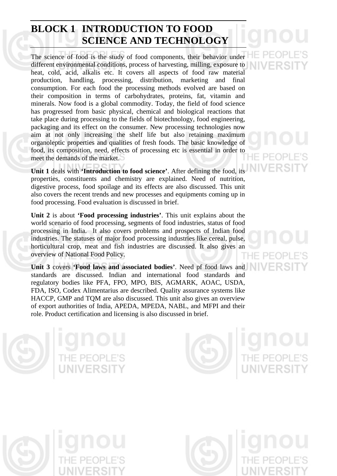## **BLOCK 1 INTRODUCTION TO FOOD SCIENCE AND TECHNOLOGY**

The science of food is the study of food components, their behavior under different environmental conditions, process of harvesting, milling, exposure to heat, cold, acid, alkalis etc. It covers all aspects of food raw material production, handling, processing, distribution, marketing and final consumption. For each food the processing methods evolved are based on their composition in terms of carbohydrates, proteins, fat, vitamin and minerals. Now food is a global commodity. Today, the field of food science has progressed from basic physical, chemical and biological reactions that take place during processing to the fields of biotechnology, food engineering, packaging and its effect on the consumer. New processing technologies now aim at not only increasing the shelf life but also retaining maximum organoleptic properties and qualities of fresh foods. The basic knowledge of food, its composition, need, effects of processing etc is essential in order to meet the demands of the market.

**Unit 1** deals with **'Introduction to food science'**. After defining the food, its properties, constituents and chemistry are explained. Need of nutrition, digestive process, food spoilage and its effects are also discussed. This unit also covers the recent trends and new processes and equipments coming up in food processing. Food evaluation is discussed in brief.

**Unit 2** is about **'Food processing industries'**. This unit explains about the world scenario of food processing, segments of food industries, status of food processing in India. It also covers problems and prospects of Indian food industries. The statuses of major food processing industries like cereal, pulse, horticultural crop, meat and fish industries are discussed. It also gives an overview of National Food Policy.

**Unit 3** covers **'Food laws and associated bodies'**. Need pf food laws and standards are discussed. Indian and international food standards and regulatory bodies like PFA, FPO, MPO, BIS, AGMARK, AOAC, USDA, FDA, ISO, Codex Alimentarius are described. Quality assurance systems like HACCP, GMP and TQM are also discussed. This unit also gives an overview of export authorities of India, APEDA, MPEDA, NABL, and MFPI and their role. Product certification and licensing is also discussed in brief.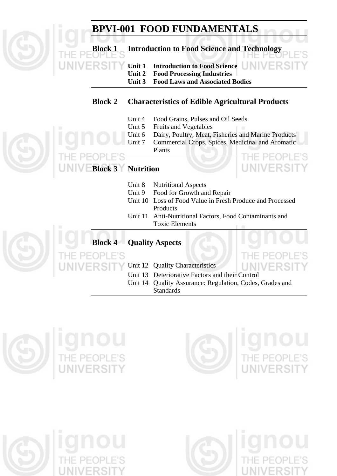# **BPVI-001 FOOD FUNDAMENTALS**

**Block 1 Introduction to Food Science and Technology** 

 **Unit 1 Introduction to Food Science Unit 2 Food Processing Industries** 

 **Unit 3 Food Laws and Associated Bodies** 

#### **Block 2 Characteristics of Edible Agricultural Products**

- Unit 4 Food Grains, Pulses and Oil Seeds
- Unit 5 Fruits and Vegetables
- Unit 6 Dairy, Poultry, Meat, Fisheries and Marine Products
- Unit 7 Commercial Crops, Spices, Medicinal and Aromatic Plants

## **Block 3 Nutrition**

- Unit 8 Nutritional Aspects
- Unit 9 Food for Growth and Repair
- Unit 10 Loss of Food Value in Fresh Produce and Processed **Products**
- Unit 11 Anti-Nutritional Factors, Food Contaminants and Toxic Elements

#### **Block 4 Quality Aspects**

F'S Unit 12 Quality Characteristics

- Unit 13 Deteriorative Factors and their Control
- Unit 14 Quality Assurance: Regulation, Codes, Grades and Standards







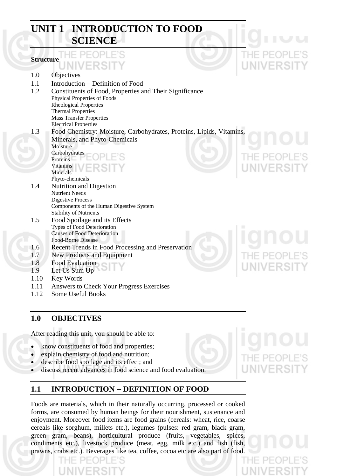## **UNIT 1 INTRODUCTION TO FOOD SCIENCE**

#### **Structure**  1.0 Objectives 1.1 Introduction − Definition of Food 1.2 Constituents of Food, Properties and Their Significance Physical Properties of Foods Rheological Properties Thermal Properties Mass Transfer Properties Electrical Properties 1.3 Food Chemistry: Moisture, Carbohydrates, Proteins, Lipids, Vitamins, Minerals, and Phyto-Chemicals Moisture Carbohydrates Proteins Vitamins Minerals Phyto-chemicals 1.4 Nutrition and Digestion Nutrient Needs Digestive Process Components of the Human Digestive System Stability of Nutrients 1.5 Food Spoilage and its Effects Types of Food Deterioration Causes of Food Deterioration Food-Borne Disease 1.6 Recent Trends in Food Processing and Preservation 1.7 New Products and Equipment 1.8 Food Evaluation 1.9 Let Us Sum Up 1.10 Key Words

- 1.11 Answers to Check Your Progress Exercises
- 1.12 Some Useful Books

#### **1.0 OBJECTIVES**

After reading this unit, you should be able to:

- know constituents of food and properties;
- explain chemistry of food and nutrition;
- describe food spoilage and its effect; and
- discuss recent advances in food science and food evaluation.

#### **1.1 INTRODUCTION** − **DEFINITION OF FOOD**

Foods are materials, which in their naturally occurring, processed or cooked forms, are consumed by human beings for their nourishment, sustenance and enjoyment. Moreover food items are food grains (cereals: wheat, rice, coarse cereals like sorghum, millets etc.), legumes (pulses: red gram, black gram, green gram, beans), horticultural produce (fruits, vegetables, spices, condiments etc.), livestock produce (meat, egg, milk etc.) and fish (fish, prawns, crabs etc.). Beverages like tea, coffee, cocoa etc are also part of food.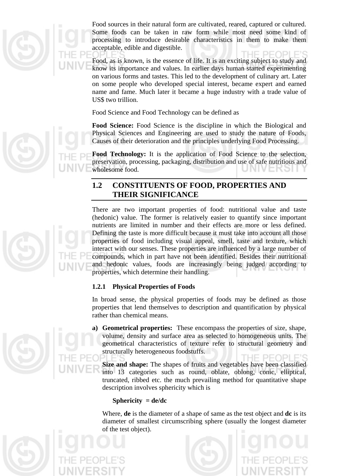

Food sources in their natural form are cultivated, reared, captured or cultured. Some foods can be taken in raw form while most need some kind of processing to introduce desirable characteristics in them to make them acceptable, edible and digestible.

Food, as is known, is the essence of life. It is an exciting subject to study and know its importance and values. In earlier days human started experimenting on various forms and tastes. This led to the development of culinary art. Later on some people who developed special interest, became expert and earned name and fame. Much later it became a huge industry with a trade value of US\$ two trillion.

Food Science and Food Technology can be defined as

**Food Science:** Food Science is the discipline in which the Biological and Physical Sciences and Engineering are used to study the nature of Foods, Causes of their deterioration and the principles underlying Food Processing.

**Food Technology:** It is the application of Food Science to the selection, preservation, processing, packaging, distribution and use of safe nutritious and wholesome food. UNIVERSI I

#### **1.2 CONSTITUENTS OF FOOD, PROPERTIES AND THEIR SIGNIFICANCE**

There are two important properties of food: nutritional value and taste (hedonic) value. The former is relatively easier to quantify since important nutrients are limited in number and their effects are more or less defined. Defining the taste is more difficult because it must take into account all those properties of food including visual appeal, smell, taste and texture, which interact with our senses. These properties are influenced by a large number of compounds, which in part have not been identified. Besides their nutritional and hedonic values, foods are increasingly being judged according to properties, which determine their handling.

#### **1.2.1 Physical Properties of Foods**

In broad sense, the physical properties of foods may be defined as those properties that lend themselves to description and quantification by physical rather than chemical means.

**a) Geometrical properties:** These encompass the properties of size, shape, volume, density and surface area as selected to homogeneous units. The geometrical characteristics of texture refer to structural geometry and structurally heterogeneous foodstuffs.

**Size and shape:** The shapes of fruits and vegetables have been classified into 13 categories such as round, oblate, oblong, conic, elliptical, truncated, ribbed etc. the much prevailing method for quantitative shape description involves sphericity which is

#### **Sphericity = de/dc**

Where, **de** is the diameter of a shape of same as the test object and **dc** is its diameter of smallest circumscribing sphere (usually the longest diameter of the test object).



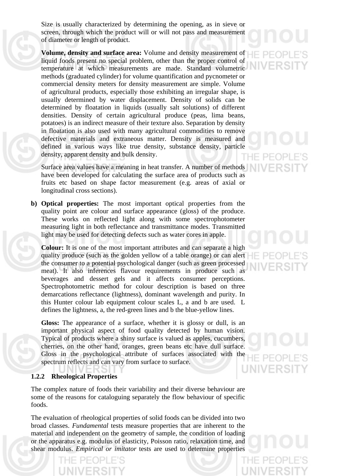Size is usually characterized by determining the opening, as in sieve or screen, through which the product will or will not pass and measurement of diameter or length of product.

**Volume, density and surface area:** Volume and density measurement of liquid foods present no special problem, other than the proper control of temperature at which measurements are made. Standard volumetric methods (graduated cylinder) for volume quantification and pycnometer or commercial density meters for density measurement are simple. Volume of agricultural products, especially those exhibiting an irregular shape, is usually determined by water displacement. Density of solids can be determined by floatation in liquids (usually salt solutions) of different densities. Density of certain agricultural produce (peas, lima beans, potatoes) is an indirect measure of their texture also. Separation by density in floatation is also used with many agricultural commodities to remove defective materials and extraneous matter. Density is measured and defined in various ways like true density, substance density, particle density, apparent density and bulk density.

Surface area values have a meaning in heat transfer. A number of methods have been developed for calculating the surface area of products such as fruits etc based on shape factor measurement (e.g. areas of axial or longitudinal cross sections).

**b) Optical properties:** The most important optical properties from the quality point are colour and surface appearance (gloss) of the produce. These works on reflected light along with some spectrophotometer measuring light in both reflectance and transmittance modes. Transmitted light may be used for detecting defects such as water cores in apple.

**Colour:** It is one of the most important attributes and can separate a high quality produce (such as the golden yellow of a table orange) or can alert the consumer to a potential psychological danger (such as green processed meat). It also inferences flavour requirements in produce such as beverages and dessert gels and it affects consumer perceptions. Spectrophotometric method for colour description is based on three demarcations reflectance (lightness), dominant wavelength and purity. In this Hunter colour lab equipment colour scales L, a and b are used. L defines the lightness, a, the red-green lines and b the blue-yellow lines.

**Gloss:** The appearance of a surface, whether it is glossy or dull, is an important physical aspect of food quality detected by human vision. Typical of products where a shiny surface is valued as apples, cucumbers, cherries, on the other hand, oranges, green beans etc have dull surface. Gloss in the psychological attribute of surfaces associated with the spectrum reflects and can vary from surface to surface.

#### **1.2.2 Rheological Properties**

The complex nature of foods their variability and their diverse behaviour are some of the reasons for cataloguing separately the flow behaviour of specific foods.

The evaluation of rheological properties of solid foods can be divided into two broad classes. *Fundamental* tests measure properties that are inherent to the material and independent on the geometry of sample, the condition of loading or the apparatus e.g. modulus of elasticity, Poisson ratio, relaxation time, and shear modulus. *Empirical or imitator* tests are used to determine properties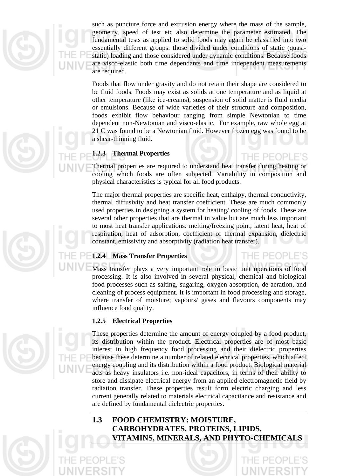

such as puncture force and extrusion energy where the mass of the sample, geometry, speed of test etc also determine the parameter estimated. The fundamental tests as applied to solid foods may again be classified into two essentially different groups: those divided under conditions of static (quasistatic) loading and those considered under dynamic conditions. Because foods are visco-elastic both time dependants and time independent measurements are required.

Foods that flow under gravity and do not retain their shape are considered to be fluid foods. Foods may exist as solids at one temperature and as liquid at other temperature (like ice-creams), suspension of solid matter is fluid media or emulsions. Because of wide varieties of their structure and composition, foods exhibit flow behaviour ranging from simple Newtonian to time dependent non-Newtonian and visco-elastic. For example, raw whole egg at 21 C was found to be a Newtonian fluid. However frozen egg was found to be a shear-thinning fluid.

#### **1.2.3 Thermal Properties**

Thermal properties are required to understand heat transfer during heating or cooling which foods are often subjected. Variability in composition and physical characteristics is typical for all food products.

The major thermal properties are specific heat, enthalpy, thermal conductivity, thermal diffusivity and heat transfer coefficient. These are much commonly used properties in designing a system for heating/ cooling of foods. These are several other properties that are thermal in value but are much less important to most heat transfer applications: melting/freezing point, latent heat, heat of respiration, heat of adsorption, coefficient of thermal expansion, dielectric constant, emissivity and absorptivity (radiation heat transfer).

#### **1.2.4 Mass Transfer Properties**

Mass transfer plays a very important role in basic unit operations of food processing. It is also involved in several physical, chemical and biological food processes such as salting, sugaring, oxygen absorption, de-aeration, and cleaning of process equipment. It is important in food processing and storage, where transfer of moisture; vapours/ gases and flavours components may influence food quality.

PEOPLE'S

#### **1.2.5 Electrical Properties**

These properties determine the amount of energy coupled by a food product, its distribution within the product. Electrical properties are of most basic interest in high frequency food processing and their dielectric properties because these determine a number of related electrical properties, which affect energy coupling and its distribution within a food product. Biological material acts as heavy insulators i.e. non-ideal capacitors, in terms of their ability to store and dissipate electrical energy from an applied electromagnetic field by radiation transfer. These properties result form electric charging and less current generally related to materials electrical capacitance and resistance and are defined by fundamental dielectric properties.

#### **1.3 FOOD CHEMISTRY: MOISTURE, CARBOHYDRATES, PROTEINS, LIPIDS, VITAMINS, MINERALS, AND PHYTO-CHEMICALS**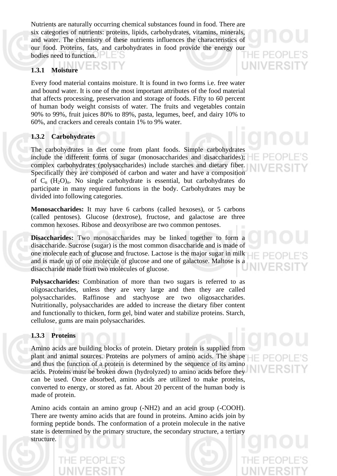Nutrients are naturally occurring chemical substances found in food. There are six categories of nutrients: proteins, lipids, carbohydrates, vitamins, minerals, and water. The chemistry of these nutrients influences the characteristics of our food. Proteins, fats, and carbohydrates in food provide the energy our bodies need to function.

#### /FRSIT **1.3.1 Moisture**

Every food material contains moisture. It is found in two forms i.e. free water and bound water. It is one of the most important attributes of the food material that affects processing, preservation and storage of foods. Fifty to 60 percent of human body weight consists of water. The fruits and vegetables contain 90% to 99%, fruit juices 80% to 89%, pasta, legumes, beef, and dairy 10% to 60%, and crackers and cereals contain 1% to 9% water.

#### **1.3.2 Carbohydrates**

The carbohydrates in diet come from plant foods. Simple carbohydrates include the different forms of sugar (monosaccharides and disaccharides); complex carbohydrates (polysaccharides) include starches and dietary fiber. Specifically they are composed of carbon and water and have a composition of  $C_n$   $(H_2O)_n$ . No single carbohydrate is essential, but carbohydrates do participate in many required functions in the body. Carbohydrates may be divided into following categories.

**Monosaccharides:** It may have 6 carbons (called hexoses), or 5 carbons (called pentoses). Glucose (dextrose), fructose, and galactose are three common hexoses. Ribose and deoxyribose are two common pentoses.

**Disaccharides:** Two monosaccharides may be linked together to form a disaccharide. Sucrose (sugar) is the most common disaccharide and is made of one molecule each of glucose and fructose. Lactose is the major sugar in milk and is made up of one molecule of glucose and one of galactose. Maltose is a disaccharide made from two molecules of glucose.

**Polysaccharides:** Combination of more than two sugars is referred to as oligosaccharides, unless they are very large and then they are called polysaccharides. Raffinose and stachyose are two oligosaccharides. Nutritionally, polysaccharides are added to increase the dietary fiber content and functionally to thicken, form gel, bind water and stabilize proteins. Starch, cellulose, gums are main polysaccharides.

#### **1.3.3 Proteins**

Amino acids are building blocks of protein. Dietary protein is supplied from plant and animal sources. Proteins are polymers of amino acids. The shape and thus the function of a protein is determined by the sequence of its amino acids. Proteins must be broken down (hydrolyzed) to amino acids before they can be used. Once absorbed, amino acids are utilized to make proteins, converted to energy, or stored as fat. About 20 percent of the human body is made of protein.

Amino acids contain an amino group (-NH2) and an acid group (-COOH). There are twenty amino acids that are found in proteins. Amino acids join by forming peptide bonds. The conformation of a protein molecule in the native state is determined by the primary structure, the secondary structure, a tertiary structure.

# UNIVERS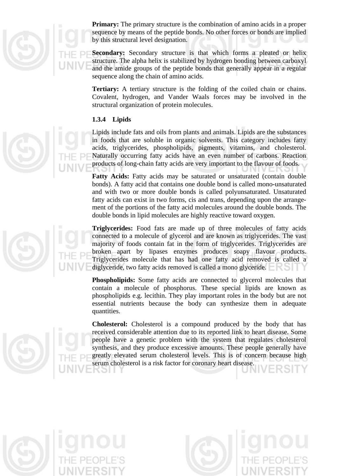

**Primary:** The primary structure is the combination of amino acids in a proper sequence by means of the peptide bonds. No other forces or bonds are implied by this structural level designation.

**Secondary:** Secondary structure is that which forms a pleated or helix structure. The alpha helix is stabilized by hydrogen bonding between carboxyl and the amide groups of the peptide bonds that generally appear in a regular sequence along the chain of amino acids.

**Tertiary:** A tertiary structure is the folding of the coiled chain or chains. Covalent, hydrogen, and Vander Waals forces may be involved in the structural organization of protein molecules.

#### **1.3.4 Lipids**

Lipids include fats and oils from plants and animals. Lipids are the substances in foods that are soluble in organic solvents. This category includes fatty acids, triglycerides, phospholipids, pigments, vitamins, and cholesterol. Naturally occurring fatty acids have an even number of carbons. Reaction products of long-chain fatty acids are very important to the flavour of foods.

Fatty Acids: Fatty acids may be saturated or unsaturated (contain double bonds). A fatty acid that contains one double bond is called mono-unsaturated and with two or more double bonds is called polyunsaturated. Unsaturated fatty acids can exist in two forms, cis and trans, depending upon the arrangement of the portions of the fatty acid molecules around the double bonds. The double bonds in lipid molecules are highly reactive toward oxygen.

**Triglycerides:** Food fats are made up of three molecules of fatty acids connected to a molecule of glycerol and are known as triglycerides. The vast majority of foods contain fat in the form of triglycerides. Triglycerides are broken apart by lipases enzymes produces soapy flavour products. Triglycerides molecule that has had one fatty acid removed is called a diglyceride, two fatty acids removed is called a mono glyceride.

**Phospholipids:** Some fatty acids are connected to glycerol molecules that contain a molecule of phosphorus. These special lipids are known as phospholipids e.g. lecithin. They play important roles in the body but are not essential nutrients because the body can synthesize them in adequate quantities.

**Cholesterol:** Cholesterol is a compound produced by the body that has received considerable attention due to its reported link to heart disease. Some people have a genetic problem with the system that regulates cholesterol synthesis, and they produce excessive amounts. These people generally have greatly elevated serum cholesterol levels. This is of concern because high serum cholesterol is a risk factor for coronary heart disease.

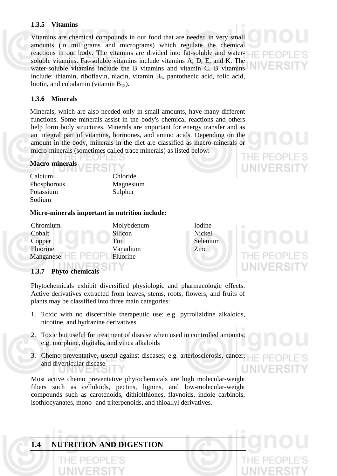#### **1.3.5 Vitamins**

Vitamins are chemical compounds in our food that are needed in very small amounts (in milligrams and micrograms) which regulate the chemical reactions in our body. The vitamins are divided into fat-soluble and watersoluble vitamins. Fat-soluble vitamins include vitamins A, D, E, and K. The water-soluble vitamins include the B vitamins and vitamin C. B vitamins include: thiamin, riboflavin, niacin, vitamin  $B_6$ , pantothenic acid, folic acid, biotin, and cobalamin (vitamin  $B_{12}$ ).

#### **1.3.6 Minerals**

Minerals, which are also needed only in small amounts, have many different functions. Some minerals assist in the body's chemical reactions and others help form body structures. Minerals are important for energy transfer and as an integral part of vitamins, hormones, and amino acids. Depending on the amount in the body, minerals in the diet are classified as macro-minerals or micro-minerals (sometimes called trace minerals) as listed below:

#### **Macro-minerals**

| .           |           |
|-------------|-----------|
| Calcium     | Chloride  |
| Phosphorous | Magnesium |
| Potassium   | Sulphur   |
| Sodium      |           |

#### **Micro-minerals important in nutrition include:**

EDRIT

| Chromium  | Molybdenum | Iodine  |
|-----------|------------|---------|
| Cobalt    | Silicon    | Nickel  |
| Copper    | Tin        | Seleniu |
| Fluorine  | Vanadium   | Zinc    |
| Manganese | Fluorine   |         |
|           |            |         |

Selenium

#### **1.3.7 Phyto-chemicals**

Phytochemicals exhibit diversified physiologic and pharmacologic effects. Active derivatives extracted from leaves, stems, roots, flowers, and fruits of plants may be classified into three main categories:

- 1. Toxic with no discernible therapeutic use; e.g. pyrrolizidine alkaloids, nicotine, and hydrazine derivatives
- 2. Toxic but useful for treatment of disease when used in controlled amounts; e.g. morphine, digitalis, and vinca alkaloids
- 3. Chemo preventative, useful against diseases; e.g. arteriosclerosis, cancer, and diverticular disease

Most active chemo preventative phytochemicals are high molecular-weight fibers such as celluloids, pectins, lignins, and low-molecular-weight compounds such as carotenoids, dithiolthiones, flavnoids, indole carbinols, isothiocyanates, mono- and triterpenoids, and thioallyl derivatives.

#### **1.4 NUTRITION AND DIGESTION**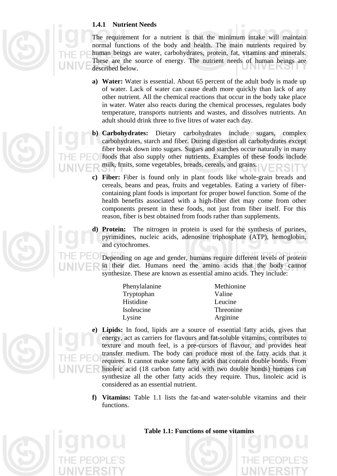#### **1.4.1 Nutrient Needs**

The requirement for a nutrient is that the minimum intake will maintain normal functions of the body and health. The main nutrients required by human beings are water, carbohydrates, protein, fat, vitamins and minerals. These are the source of energy. The nutrient needs of human beings are described below.

- **a) Water:** Water is essential. About 65 percent of the adult body is made up of water. Lack of water can cause death more quickly than lack of any other nutrient. All the chemical reactions that occur in the body take place in water. Water also reacts during the chemical processes, regulates body temperature, transports nutrients and wastes, and dissolves nutrients. An adult should drink three to five litres of water each day.
- **b) Carbohydrates:** Dietary carbohydrates include sugars, complex carbohydrates, starch and fiber. During digestion all carbohydrates except fiber break down into sugars. Sugars and starches occur naturally in many foods that also supply other nutrients. Examples of these foods include milk, fruits, some vegetables, breads, cereals, and grains.
- **c) Fiber:** Fiber is found only in plant foods like whole-grain breads and cereals, beans and peas, fruits and vegetables. Eating a variety of fibercontaining plant foods is important for proper bowel function. Some of the health benefits associated with a high-fiber diet may come from other components present in these foods, not just from fiber itself. For this reason, fiber is best obtained from foods rather than supplements.

**d) Protein:** The nitrogen in protein is used for the synthesis of purines, pyrimidines, nucleic acids, adenosine triphosphate (ATP), hemoglobin, and cytochromes.

Depending on age and gender, humans require different levels of protein in their diet. Humans need the amino acids that the body cannot synthesize. These are known as essential amino acids. They include:

| Phenylalanine | Methionine |
|---------------|------------|
| Tryptophan    | Valine     |
| Histidine     | Leucine    |
| Isoleucine    | Threonine  |
| Lysine        | Arginine   |

- **e) Lipids:** In food, lipids are a source of essential fatty acids, gives that energy, act as carriers for flavours and fat-soluble vitamins, contributes to texture and mouth feel, is a pre-cursors of flavour, and provides heat transfer medium. The body can produce most of the fatty acids that it requires. It cannot make some fatty acids that contain double bonds. From linoleic acid (18 carbon fatty acid with two double bonds) humans can synthesize all the other fatty acids they require. Thus, linoleic acid is considered as an essential nutrient.
- **f) Vitamins:** Table 1.1 lists the fat-and water-soluble vitamins and their functions.



#### **Table 1.1: Functions of some vitamins**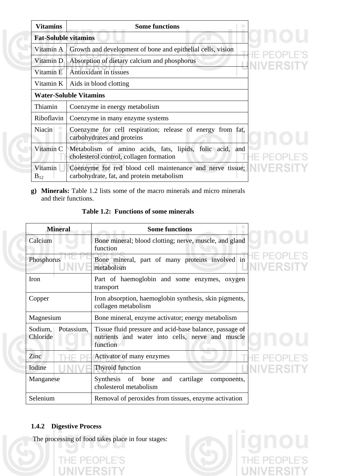| <b>Vitamins</b>             | <b>Some functions</b>                                                                                  |  |  |
|-----------------------------|--------------------------------------------------------------------------------------------------------|--|--|
| <b>Fat-Soluble vitamins</b> |                                                                                                        |  |  |
| Vitamin A                   | Growth and development of bone and epithelial cells, vision                                            |  |  |
| Vitamin D                   | Absorption of dietary calcium and phosphorus                                                           |  |  |
| Vitamin E                   | Antioxidant in tissues                                                                                 |  |  |
|                             | Vitamin $K \mid$ Aids in blood clotting                                                                |  |  |
|                             | <b>Water-Soluble Vitamins</b>                                                                          |  |  |
| Thiamin                     | Coenzyme in energy metabolism                                                                          |  |  |
| Riboflavin                  | Coenzyme in many enzyme systems                                                                        |  |  |
| <b>Niacin</b>               | Coenzyme for cell respiration; release of energy from fat,<br>carbohydrates and proteins               |  |  |
| Vitamin C                   | Metabolism of amino acids, fats, lipids, folic acid, and<br>cholesterol control, collagen formation    |  |  |
| Vitamin<br>$B_{12}$         | Coenzyme for red blood cell maintenance and nerve tissue;<br>carbohydrate, fat, and protein metabolism |  |  |

# **PLE'S IIVERSIT**

# E'S T ERSIT

**g) Minerals:** Table 1.2 lists some of the macro minerals and micro minerals and their functions.

| <b>Mineral</b>                    | <b>Some functions</b>                                                                                                   |  |
|-----------------------------------|-------------------------------------------------------------------------------------------------------------------------|--|
| Calcium                           | Bone mineral; blood clotting; nerve, muscle, and gland<br>function                                                      |  |
| Phosphorus                        | Bone mineral, part of many proteins involved in<br>metabolism                                                           |  |
| Iron                              | Part of haemoglobin and some enzymes, oxygen<br>transport                                                               |  |
| Copper                            | Iron absorption, haemoglobin synthesis, skin pigments,<br>collagen metabolism                                           |  |
| Magnesium                         | Bone mineral, enzyme activator; energy metabolism                                                                       |  |
| Potassium,<br>Sodium,<br>Chloride | Tissue fluid pressure and acid-base balance, passage of<br>nutrients and water into cells, nerve and muscle<br>function |  |
| Zinc                              | Activator of many enzymes                                                                                               |  |
| Iodine                            | Thyroid function                                                                                                        |  |
| Manganese                         | Synthesis of bone<br>cartilage<br>and<br>components,<br>cholesterol metabolism                                          |  |
| Selenium                          | Removal of peroxides from tissues, enzyme activation                                                                    |  |

#### **Table 1.2: Functions of some minerals**

#### **1.4.2 Digestive Process**

T

The processing of food takes place in four stages: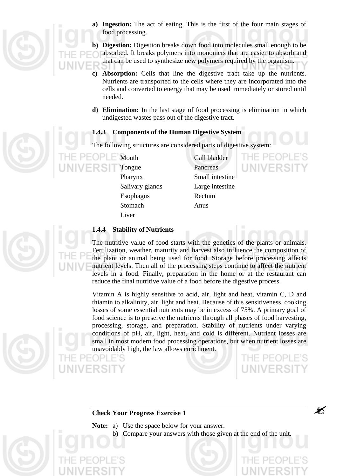

**a) Ingestion:** The act of eating. This is the first of the four main stages of food processing.

**b) Digestion:** Digestion breaks down food into molecules small enough to be absorbed. It breaks polymers into monomers that are easier to absorb and that can be used to synthesize new polymers required by the organism.

- **c) Absorption:** Cells that line the digestive tract take up the nutrients. Nutrients are transported to the cells where they are incorporated into the cells and converted to energy that may be used immediately or stored until needed.
- **d) Elimination:** In the last stage of food processing is elimination in which undigested wastes pass out of the digestive tract.

#### **1.4.3 Components of the Human Digestive System**

The following structures are considered parts of digestive system:

Tongue Pancreas Esophagus Rectum Stomach Anus **Liver** 

Mouth Gall bladder Pharynx Small intestine Salivary glands Large intestine

THE PEOP

#### **1.4.4 Stability of Nutrients**

The nutritive value of food starts with the genetics of the plants or animals. Fertilization, weather, maturity and harvest also influence the composition of the plant or animal being used for food. Storage before processing affects nutrient levels. Then all of the processing steps continue to affect the nutrient levels in a food. Finally, preparation in the home or at the restaurant can reduce the final nutritive value of a food before the digestive process.

Vitamin A is highly sensitive to acid, air, light and heat, vitamin C, D and thiamin to alkalinity, air, light and heat. Because of this sensitiveness, cooking losses of some essential nutrients may be in excess of 75%. A primary goal of food science is to preserve the nutrients through all phases of food harvesting, processing, storage, and preparation. Stability of nutrients under varying conditions of pH, air, light, heat, and cold is different. Nutrient losses are small in most modern food processing operations, but when nutrient losses are unavoidably high, the law allows enrichment.

#### **Check Your Progress Exercise 1**

**Note:** a) Use the space below for your answer.

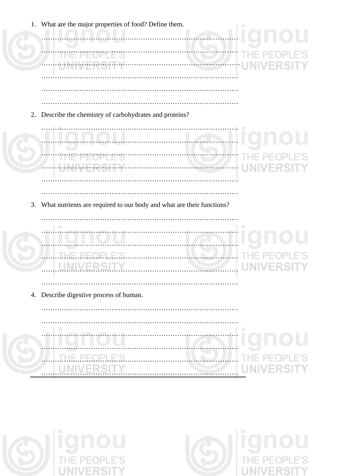|    | 1. What are the major properties of food? Define them.                   |  |
|----|--------------------------------------------------------------------------|--|
|    |                                                                          |  |
|    |                                                                          |  |
|    | w                                                                        |  |
|    |                                                                          |  |
|    |                                                                          |  |
|    |                                                                          |  |
| 2. | Describe the chemistry of carbohydrates and proteins?                    |  |
|    |                                                                          |  |
|    |                                                                          |  |
|    |                                                                          |  |
|    | $-1$                                                                     |  |
|    |                                                                          |  |
|    |                                                                          |  |
|    |                                                                          |  |
|    | 3. What nutrients are required to our body and what are their functions? |  |
|    |                                                                          |  |
|    |                                                                          |  |
|    | PEOPI F'S<br>Tŀ                                                          |  |
|    |                                                                          |  |
|    |                                                                          |  |
|    |                                                                          |  |
|    | 4. Describe digestive process of human.                                  |  |
|    |                                                                          |  |
|    |                                                                          |  |
|    |                                                                          |  |
|    |                                                                          |  |



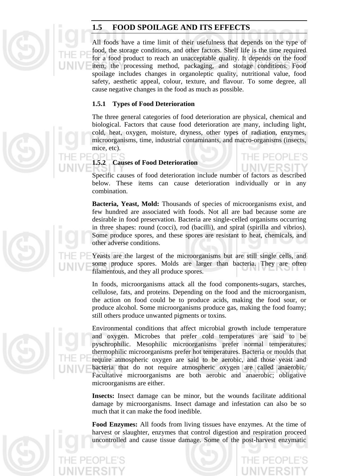

#### **1.5 FOOD SPOILAGE AND ITS EFFECTS**

All foods have a time limit of their usefulness that depends on the type of food, the storage conditions, and other factors. Shelf life is the time required for a food product to reach an unacceptable quality. It depends on the food item, the processing method, packaging, and storage conditions. Food spoilage includes changes in organoleptic quality, nutritional value, food safety, aesthetic appeal, colour, texture, and flavour. To some degree, all cause negative changes in the food as much as possible.

#### **1.5.1 Types of Food Deterioration**

The three general categories of food deterioration are physical, chemical and biological. Factors that cause food deterioration are many, including light, cold, heat, oxygen, moisture, dryness, other types of radiation, enzymes, microorganisms, time, industrial contaminants, and macro-organisms (insects, mice, etc).

#### **1.5.2 Causes of Food Deterioration**

Specific causes of food deterioration include number of factors as described below. These items can cause deterioration individually or in any combination.

**Bacteria, Yeast, Mold:** Thousands of species of microorganisms exist, and few hundred are associated with foods. Not all are bad because some are desirable in food preservation. Bacteria are single-celled organisms occurring in three shapes: round (cocci), rod (bacilli), and spiral (spirilla and vibrios). Some produce spores, and these spores are resistant to heat, chemicals, and other adverse conditions.

Yeasts are the largest of the microorganisms but are still single cells, and some produce spores. Molds are larger than bacteria. They are often filamentous, and they all produce spores.

In foods, microorganisms attack all the food components-sugars, starches, cellulose, fats, and proteins. Depending on the food and the microorganism, the action on food could be to produce acids, making the food sour, or produce alcohol. Some microorganisms produce gas, making the food foamy; still others produce unwanted pigments or toxins.

Environmental conditions that affect microbial growth include temperature and oxygen. Microbes that prefer cold temperatures are said to be pyschrophilic. Mesophilic microorganisms prefer normal temperatures; thermophilic microorganisms prefer hot temperatures. Bacteria or moulds that require atmospheric oxygen are said to be aerobic, and those yeast and bacteria that do not require atmospheric oxygen are called anaerobic. Facultative microorganisms are both aerobic and anaerobic; obligative microorganisms are either.

**Insects:** Insect damage can be minor, but the wounds facilitate additional damage by microorganisms. Insect damage and infestation can also be so much that it can make the food inedible.

**Food Enzymes:** All foods from living tissues have enzymes. At the time of harvest or slaughter, enzymes that control digestion and respiration proceed uncontrolled and cause tissue damage. Some of the post-harvest enzymatic

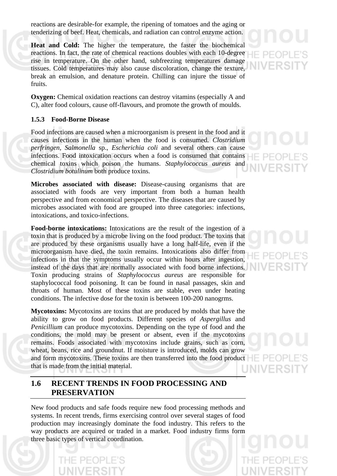reactions are desirable-for example, the ripening of tomatoes and the aging or tenderizing of beef. Heat, chemicals, and radiation can control enzyme action.

**Heat and Cold:** The higher the temperature, the faster the biochemical reactions. In fact, the rate of chemical reactions doubles with each 10-degree rise in temperature. On the other hand, subfreezing temperatures damage tissues. Cold temperatures may also cause discoloration, change the texture, break an emulsion, and denature protein. Chilling can injure the tissue of fruits.

**Oxygen:** Chemical oxidation reactions can destroy vitamins (especially A and C), alter food colours, cause off-flavours, and promote the growth of moulds.

#### **1.5.3 Food-Borne Disease**

Food infections are caused when a microorganism is present in the food and it causes infections in the human when the food is consumed. *Clostridium perfringen, Salmonella* sp., *Escherichia coli* and several others can cause infections. Food intoxication occurs when a food is consumed that contains chemical toxins which poison the humans. *Staphylococcus aureus* and *Clostridium botulinum* both produce toxins.

**Microbes associated with disease:** Disease-causing organisms that are associated with foods are very important from both a human health perspective and from economical perspective. The diseases that are caused by microbes associated with food are grouped into three categories: infections, intoxications, and toxico-infections.

**Food-borne intoxications:** Intoxications are the result of the ingestion of a toxin that is produced by a microbe living on the food product. The toxins that are produced by these organisms usually have a long half-life, even if the microorganism have died, the toxin remains. Intoxications also differ from infections in that the symptoms usually occur within hours after ingestion, instead of the days that are normally associated with food borne infections. Toxin producing strains of *Staphylococcus aureus* are responsible for staphylococcal food poisoning. It can be found in nasal passages, skin and throats of human. Most of these toxins are stable, even under heating conditions. The infective dose for the toxin is between 100-200 nanogrms.

**Mycotoxins:** Mycotoxins are toxins that are produced by molds that have the ability to grow on food products. Different species of *Aspergillus* and *Penicillium* can produce mycotoxins. Depending on the type of food and the conditions, the mold may be present or absent, even if the mycotoxins remains. Foods associated with mycotoxins include grains, such as corn, wheat, beans, rice and groundnut. If moisture is introduced, molds can grow and form mycotoxins. These toxins are then transferred into the food product that is made from the initial material.

#### **1.6 RECENT TRENDS IN FOOD PROCESSING AND PRESERVATION**

New food products and safe foods require new food processing methods and systems. In recent trends, firms exercising control over several stages of food production may increasingly dominate the food industry. This refers to the way products are acquired or traded in a market. Food industry firms form three basic types of vertical coordination.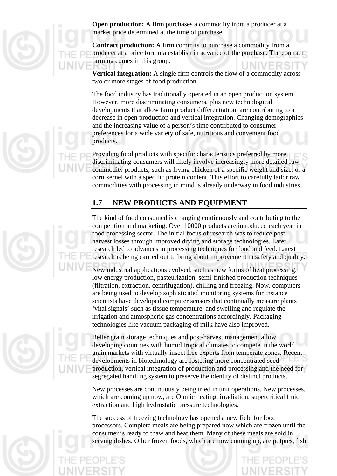

**Open production:** A firm purchases a commodity from a producer at a market price determined at the time of purchase.

**Contract production:** A firm commits to purchase a commodity from a producer at a price formula establish in advance of the purchase. The contract farming comes in this group.

**Vertical integration:** A single firm controls the flow of a commodity across two or more stages of food production.

The food industry has traditionally operated in an open production system. However, more discriminating consumers, plus new technological developments that allow farm product differentiation, are contributing to a decrease in open production and vertical integration. Changing demographics and the increasing value of a person's time contributed to consumer preferences for a wide variety of safe, nutritious and convenient food products.

Providing food products with specific characteristics preferred by more discriminating consumers will likely involve increasingly more detailed raw commodity products, such as frying chicken of a specific weight and size, or a corn kernel with a specific protein content. This effort to carefully tailor raw commodities with processing in mind is already underway in food industries.

#### **1.7 NEW PRODUCTS AND EQUIPMENT**

The kind of food consumed is changing continuously and contributing to the competition and marketing. Over 10000 products are introduced each year in food processing sector. The initial focus of research was to reduce postharvest losses through improved drying and storage technologies. Later research led to advances in processing techniques for food and feed. Latest research is being carried out to bring about improvement in safety and quality.

New industrial applications evolved, such as new forms of heat processing, low energy production, pasteurization, semi-finished production techniques (filtration, extraction, centrifugation), chilling and freezing. Now, computers are being used to develop sophisticated monitoring systems for instance scientists have developed computer sensors that continually measure plants 'vital signals' such as tissue temperature, and swelling and regulate the irrigation and atmospheric gas concentrations accordingly. Packaging technologies like vacuum packaging of milk have also improved.

Better grain storage techniques and post-harvest management allow developing countries with humid tropical climates to compete in the world grain markets with virtually insect free exports from temperate zones. Recent developments in biotechnology are fostering more concentrated seed production, vertical integration of production and processing and the need for segregated handling system to preserve the identity of distinct products.

New processes are continuously being tried in unit operations. New processes, which are coming up now, are Ohmic heating, irradiation, supercritical fluid extraction and high hydrostatic pressure technologies.

The success of freezing technology has opened a new field for food processors. Complete meals are being prepared now which are frozen until the consumer is ready to thaw and heat them. Many of these meals are sold in serving dishes. Other frozen foods, which are now coming up, are potpies, fish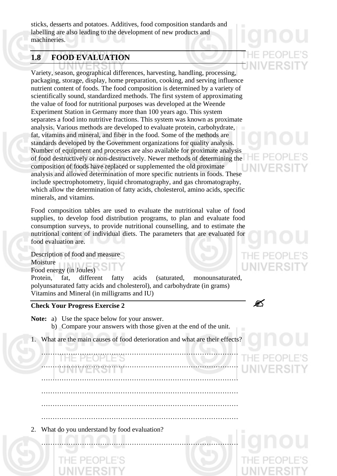sticks, desserts and potatoes. Additives, food composition standards and labelling are also leading to the development of new products and machineries.

#### **1.8 FOOD EVALUATION**

Variety, season, geographical differences, harvesting, handling, processing, packaging, storage, display, home preparation, cooking, and serving influence nutrient content of foods. The food composition is determined by a variety of scientifically sound, standardized methods. The first system of approximating the value of food for nutritional purposes was developed at the Weende Experiment Station in Germany more than 100 years ago. This system separates a food into nutritive fractions. This system was known as proximate analysis. Various methods are developed to evaluate protein, carbohydrate, fat, vitamins and mineral, and fiber in the food. Some of the methods are standards developed by the Government organizations for quality analysis. Number of equipment and processes are also available for proximate analysis of food destructively or non-destructively. Newer methods of determining the composition of foods have replaced or supplemented the old proximate analysis and allowed determination of more specific nutrients in foods. These include spectrophotometry, liquid chromatography, and gas chromatography, which allow the determination of fatty acids, cholesterol, amino acids, specific minerals, and vitamins.

Food composition tables are used to evaluate the nutritional value of food supplies, to develop food distribution programs, to plan and evaluate food consumption surveys, to provide nutritional counselling, and to estimate the nutritional content of individual diets. The parameters that are evaluated for food evaluation are.

THE PE(

UNIVER

Description of food and measure

Moisture

Food energy (in Joules)

Protein, fat, different fatty acids (saturated, monounsaturated, polyunsaturated fatty acids and cholesterol), and carbohydrate (in grams) Vitamins and Mineral (in milligrams and IU)

#### **Check Your Progress Exercise 2**

**Note:** a) Use the space below for your answer.

- b) Compare your answers with those given at the end of the unit.
- 1. What are the main causes of food deterioration and what are their effects?

……………………………………………………………………………

……………………………………………………………………………

……………………………………………………………………………

……………………………………………………………………………

……………………………………………………………………………

#### …………………………………………………………………………… ……………………………………………………………………………

2. What do you understand by food evaluation?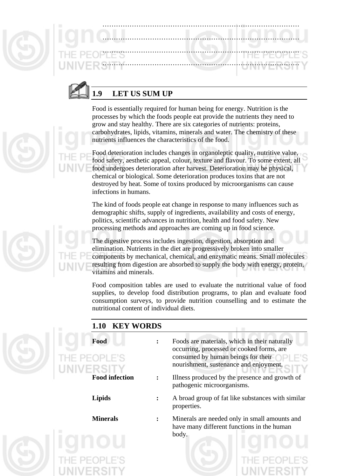| South Server II |  |  |
|-----------------|--|--|
|                 |  |  |



### **1.9 LET US SUM UP**

Food is essentially required for human being for energy. Nutrition is the processes by which the foods people eat provide the nutrients they need to grow and stay healthy. There are six categories of nutrients: proteins, carbohydrates, lipids, vitamins, minerals and water. The chemistry of these nutrients influences the characteristics of the food.

Food deterioration includes changes in organoleptic quality, nutritive value, food safety, aesthetic appeal, colour, texture and flavour. To some extent, all food undergoes deterioration after harvest. Deterioration may be physical, chemical or biological. Some deterioration produces toxins that are not destroyed by heat. Some of toxins produced by microorganisms can cause infections in humans.

The kind of foods people eat change in response to many influences such as demographic shifts, supply of ingredients, availability and costs of energy, politics, scientific advances in nutrition, health and food safety. New processing methods and approaches are coming up in food science.

The digestive process includes ingestion, digestion, absorption and elimination. Nutrients in the diet are progressively broken into smaller components by mechanical, chemical, and enzymatic means. Small molecules resulting from digestion are absorbed to supply the body with energy, protein, vitamins and minerals.

Food composition tables are used to evaluate the nutritional value of food supplies, to develop food distribution programs, to plan and evaluate food consumption surveys, to provide nutrition counselling and to estimate the nutritional content of individual diets.

| 1.10 KEY WORDS                    |                                                                                                                                                                            |
|-----------------------------------|----------------------------------------------------------------------------------------------------------------------------------------------------------------------------|
| Food<br>THE PEOPLE'S<br>UNIVERSIT | Foods are materials, which in their naturally<br>occurring, processed or cooked forms, are<br>consumed by human beings for their<br>nourishment, sustenance and enjoyment. |
| <b>Food infection</b>             | Illness produced by the presence and growth of<br>pathogenic microorganisms.                                                                                               |
| <b>Lipids</b>                     | A broad group of fat like substances with similar<br>properties.                                                                                                           |
| <b>Minerals</b>                   | Minerals are needed only in small amounts and<br>have many different functions in the human<br>body.                                                                       |
|                                   |                                                                                                                                                                            |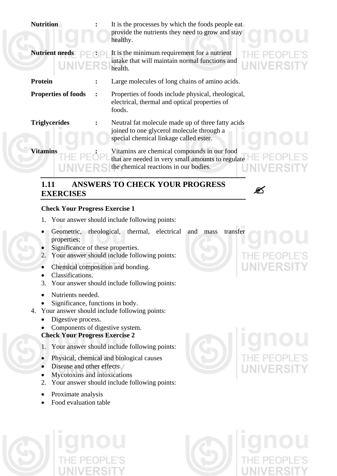| <b>Nutrition</b>           | It is the processes by which the foods people eat<br>provide the nutrients they need to grow and stay<br>healthy.                         |
|----------------------------|-------------------------------------------------------------------------------------------------------------------------------------------|
| <b>Nutrient needs</b>      | It is the minimum requirement for a nutrient<br>intake that will maintain normal functions and<br>UNIVERSITY<br>health.                   |
| <b>Protein</b>             | Large molecules of long chains of amino acids.                                                                                            |
| <b>Properties of foods</b> | Properties of foods include physical, rheological,<br>electrical, thermal and optical properties of<br>foods.                             |
| <b>Triglycerides</b>       | Neutral fat molecule made up of three fatty acids<br>joined to one glycerol molecule through a<br>special chemical linkage called ester.  |
| <b>Vitamins</b>            | Vitamins are chemical compounds in our food<br>that are needed in very small amounts to regulate<br>the chemical reactions in our bodies. |

# **1.11 ANSWERS TO CHECK YOUR PROGRESS EXERCISES** "

#### **Check Your Progress Exercise 1**

- 1. Your answer should include following points:
- Geometric, rheological, thermal, electrical and mass transfer properties;
- Significance of these properties.
- 2. Your answer should include following points:
- Chemical composition and bonding.
- Classifications.
- 3. Your answer should include following points:
- Nutrients needed.
- Significance, functions in body.
- 4. Your answer should include following points:
	- Digestive process.
	- Components of digestive system.

#### **Check Your Progress Exercise 2**

- 1. Your answer should include following points:
- Physical, chemical and biological causes
- Disease and other effects
- Mycotoxins and intoxications
- 2. Your answer should include following points:
- Proximate analysis
- Food evaluation table